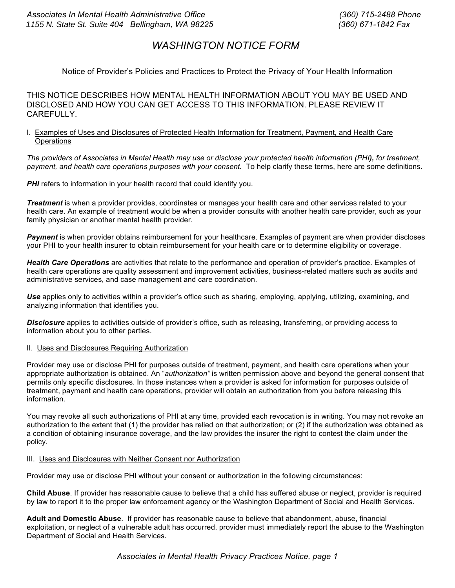# *WASHINGTON NOTICE FORM*

# Notice of Provider's Policies and Practices to Protect the Privacy of Your Health Information

THIS NOTICE DESCRIBES HOW MENTAL HEALTH INFORMATION ABOUT YOU MAY BE USED AND DISCLOSED AND HOW YOU CAN GET ACCESS TO THIS INFORMATION. PLEASE REVIEW IT CAREFULLY.

# I. Examples of Uses and Disclosures of Protected Health Information for Treatment, Payment, and Health Care **Operations**

The providers of Associates in Mental Health may use or disclose your protected health information (PHI), for treatment, *payment, and health care operations purposes with your consent.* To help clarify these terms, here are some definitions.

**PHI** refers to information in your health record that could identify you.

*Treatment* is when a provider provides, coordinates or manages your health care and other services related to your health care. An example of treatment would be when a provider consults with another health care provider, such as your family physician or another mental health provider.

*Payment* is when provider obtains reimbursement for your healthcare. Examples of payment are when provider discloses your PHI to your health insurer to obtain reimbursement for your health care or to determine eligibility or coverage.

*Health Care Operations* are activities that relate to the performance and operation of provider's practice. Examples of health care operations are quality assessment and improvement activities, business-related matters such as audits and administrative services, and case management and care coordination.

*Use* applies only to activities within a provider's office such as sharing, employing, applying, utilizing, examining, and analyzing information that identifies you.

*Disclosure* applies to activities outside of provider's office, such as releasing, transferring, or providing access to information about you to other parties.

# II. Uses and Disclosures Requiring Authorization

Provider may use or disclose PHI for purposes outside of treatment, payment, and health care operations when your appropriate authorization is obtained. An "*authorization"* is written permission above and beyond the general consent that permits only specific disclosures. In those instances when a provider is asked for information for purposes outside of treatment, payment and health care operations, provider will obtain an authorization from you before releasing this information.

You may revoke all such authorizations of PHI at any time, provided each revocation is in writing. You may not revoke an authorization to the extent that (1) the provider has relied on that authorization; or (2) if the authorization was obtained as a condition of obtaining insurance coverage, and the law provides the insurer the right to contest the claim under the policy.

# III. Uses and Disclosures with Neither Consent nor Authorization

Provider may use or disclose PHI without your consent or authorization in the following circumstances:

**Child Abuse**. If provider has reasonable cause to believe that a child has suffered abuse or neglect, provider is required by law to report it to the proper law enforcement agency or the Washington Department of Social and Health Services.

**Adult and Domestic Abuse**. If provider has reasonable cause to believe that abandonment, abuse, financial exploitation, or neglect of a vulnerable adult has occurred, provider must immediately report the abuse to the Washington Department of Social and Health Services.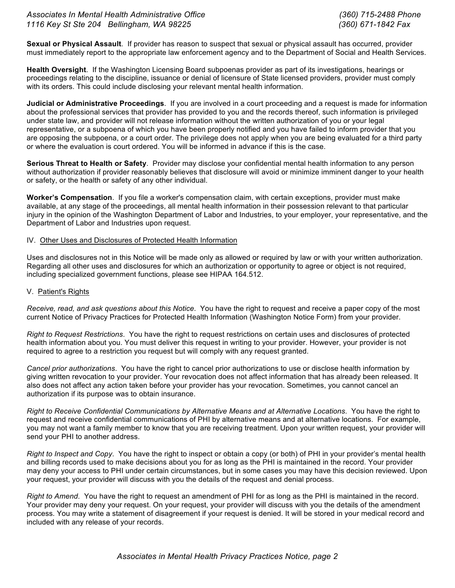**Sexual or Physical Assault**. If provider has reason to suspect that sexual or physical assault has occurred, provider must immediately report to the appropriate law enforcement agency and to the Department of Social and Health Services.

**Health Oversight**.If the Washington Licensing Board subpoenas provider as part of its investigations, hearings or proceedings relating to the discipline, issuance or denial of licensure of State licensed providers, provider must comply with its orders. This could include disclosing your relevant mental health information.

**Judicial or Administrative Proceedings**. If you are involved in a court proceeding and a request is made for information about the professional services that provider has provided to you and the records thereof, such information is privileged under state law, and provider will not release information without the written authorization of you or your legal representative, or a subpoena of which you have been properly notified and you have failed to inform provider that you are opposing the subpoena, or a court order. The privilege does not apply when you are being evaluated for a third party or where the evaluation is court ordered. You will be informed in advance if this is the case.

**Serious Threat to Health or Safety**.Provider may disclose your confidential mental health information to any person without authorization if provider reasonably believes that disclosure will avoid or minimize imminent danger to your health or safety, or the health or safety of any other individual.

**Worker's Compensation**. If you file a worker's compensation claim, with certain exceptions, provider must make available, at any stage of the proceedings, all mental health information in their possession relevant to that particular injury in the opinion of the Washington Department of Labor and Industries, to your employer, your representative, and the Department of Labor and Industries upon request.

# IV. Other Uses and Disclosures of Protected Health Information

Uses and disclosures not in this Notice will be made only as allowed or required by law or with your written authorization. Regarding all other uses and disclosures for which an authorization or opportunity to agree or object is not required, including specialized government functions, please see HIPAA 164.512.

#### V. Patient's Rights

*Receive, read, and ask questions about this Notice*. You have the right to request and receive a paper copy of the most current Notice of Privacy Practices for Protected Health Information (Washington Notice Form) from your provider.

*Right to Request Restrictions*. You have the right to request restrictions on certain uses and disclosures of protected health information about you. You must deliver this request in writing to your provider. However, your provider is not required to agree to a restriction you request but will comply with any request granted.

*Cancel prior authorizations*. You have the right to cancel prior authorizations to use or disclose health information by giving written revocation to your provider. Your revocation does not affect information that has already been released. It also does not affect any action taken before your provider has your revocation. Sometimes, you cannot cancel an authorization if its purpose was to obtain insurance.

*Right to Receive Confidential Communications by Alternative Means and at Alternative Locations*. You have the right to request and receive confidential communications of PHI by alternative means and at alternative locations. For example, you may not want a family member to know that you are receiving treatment. Upon your written request, your provider will send your PHI to another address.

*Right to Inspect and Copy*. You have the right to inspect or obtain a copy (or both) of PHI in your provider's mental health and billing records used to make decisions about you for as long as the PHI is maintained in the record. Your provider may deny your access to PHI under certain circumstances, but in some cases you may have this decision reviewed. Upon your request, your provider will discuss with you the details of the request and denial process.

*Right to Amend*. You have the right to request an amendment of PHI for as long as the PHI is maintained in the record. Your provider may deny your request. On your request, your provider will discuss with you the details of the amendment process. You may write a statement of disagreement if your request is denied. It will be stored in your medical record and included with any release of your records.